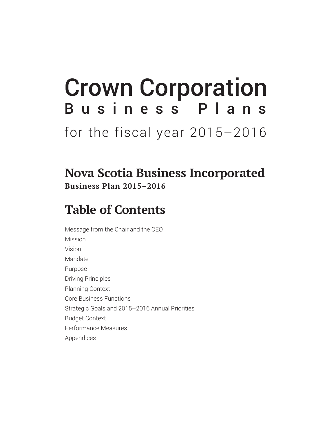# Crown Corporation Business Plans for the fiscal year 2015-2016

### **Nova Scotia Business Incorporated Business Plan 2015–2016**

### **Table of Contents**

Message from the Chair and the CEO Mission Vision Mandate Purpose Driving Principles Planning Context Core Business Functions Strategic Goals and 2015–2016 Annual Priorities Budget Context Performance Measures Appendices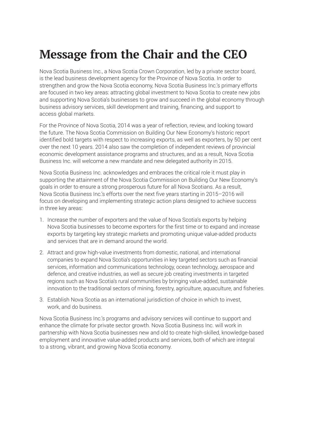### **Message from the Chair and the CEO**

Nova Scotia Business Inc., a Nova Scotia Crown Corporation, led by a private sector board, is the lead business development agency for the Province of Nova Scotia. In order to strengthen and grow the Nova Scotia economy, Nova Scotia Business Inc.'s primary efforts are focused in two key areas: attracting global investment to Nova Scotia to create new jobs and supporting Nova Scotia's businesses to grow and succeed in the global economy through business advisory services, skill development and training, financing, and support to access global markets.

For the Province of Nova Scotia, 2014 was a year of reflection, review, and looking toward the future. The Nova Scotia Commission on Building Our New Economy's historic report identified bold targets with respect to increasing exports, as well as exporters, by 50 per cent over the next 10 years. 2014 also saw the completion of independent reviews of provincial economic development assistance programs and structures, and as a result, Nova Scotia Business Inc. will welcome a new mandate and new delegated authority in 2015.

Nova Scotia Business Inc. acknowledges and embraces the critical role it must play in supporting the attainment of the Nova Scotia Commission on Building Our New Economy's goals in order to ensure a strong prosperous future for all Nova Scotians. As a result, Nova Scotia Business Inc.'s efforts over the next five years starting in 2015–2016 will focus on developing and implementing strategic action plans designed to achieve success in three key areas:

- 1. Increase the number of exporters and the value of Nova Scotia's exports by helping Nova Scotia businesses to become exporters for the first time or to expand and increase exports by targeting key strategic markets and promoting unique value-added products and services that are in demand around the world.
- 2. Attract and grow high-value investments from domestic, national, and international companies to expand Nova Scotia's opportunities in key targeted sectors such as financial services, information and communications technology, ocean technology, aerospace and defence, and creative industries, as well as secure job creating investments in targeted regions such as Nova Scotia's rural communities by bringing value-added, sustainable innovation to the traditional sectors of mining, forestry, agriculture, aquaculture, and fisheries.
- 3. Establish Nova Scotia as an international jurisdiction of choice in which to invest, work, and do business.

Nova Scotia Business Inc.'s programs and advisory services will continue to support and enhance the climate for private sector growth. Nova Scotia Business Inc. will work in partnership with Nova Scotia businesses new and old to create high-skilled, knowledge-based employment and innovative value-added products and services, both of which are integral to a strong, vibrant, and growing Nova Scotia economy.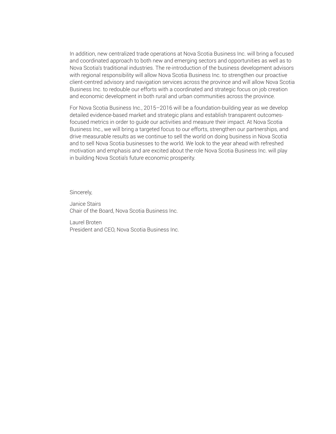In addition, new centralized trade operations at Nova Scotia Business Inc. will bring a focused and coordinated approach to both new and emerging sectors and opportunities as well as to Nova Scotia's traditional industries. The re-introduction of the business development advisors with regional responsibility will allow Nova Scotia Business Inc. to strengthen our proactive client-centred advisory and navigation services across the province and will allow Nova Scotia Business Inc. to redouble our efforts with a coordinated and strategic focus on job creation and economic development in both rural and urban communities across the province.

For Nova Scotia Business Inc., 2015–2016 will be a foundation-building year as we develop detailed evidence-based market and strategic plans and establish transparent outcomesfocused metrics in order to guide our activities and measure their impact. At Nova Scotia Business Inc., we will bring a targeted focus to our efforts, strengthen our partnerships, and drive measurable results as we continue to sell the world on doing business in Nova Scotia and to sell Nova Scotia businesses to the world. We look to the year ahead with refreshed motivation and emphasis and are excited about the role Nova Scotia Business Inc. will play in building Nova Scotia's future economic prosperity.

Sincerely,

Janice Stairs Chair of the Board, Nova Scotia Business Inc.

Laurel Broten President and CEO, Nova Scotia Business Inc.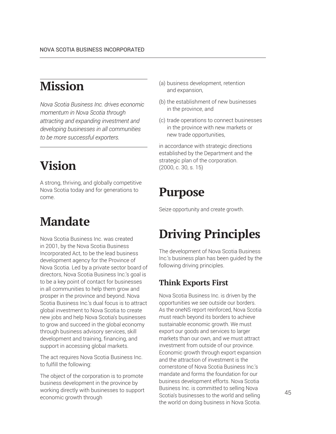### **Mission**

*Nova Scotia Business Inc. drives economic momentum in Nova Scotia through attracting and expanding investment and developing businesses in all communities to be more successful exporters.*

# **Vision**

A strong, thriving, and globally competitive Nova Scotia today and for generations to come.

### **Mandate**

Nova Scotia Business Inc. was created in 2001, by the Nova Scotia Business Incorporated Act, to be the lead business development agency for the Province of Nova Scotia. Led by a private sector board of directors, Nova Scotia Business Inc.'s goal is to be a key point of contact for businesses in all communities to help them grow and prosper in the province and beyond. Nova Scotia Business Inc.'s dual focus is to attract global investment to Nova Scotia to create new jobs and help Nova Scotia's businesses to grow and succeed in the global economy through business advisory services, skill development and training, financing, and support in accessing global markets.

The act requires Nova Scotia Business Inc. to fulfill the following:

The object of the corporation is to promote business development in the province by working directly with businesses to support economic growth through

- (a) business development, retention and expansion,
- (b) the establishment of new businesses in the province, and
- (c) trade operations to connect businesses in the province with new markets or new trade opportunities,

in accordance with strategic directions established by the Department and the strategic plan of the corporation. (2000, c. 30, s. 15)

### **Purpose**

Seize opportunity and create growth.

# **Driving Principles**

The development of Nova Scotia Business Inc.'s business plan has been guided by the following driving principles.

### **Think Exports First**

Nova Scotia Business Inc. is driven by the opportunities we see outside our borders. As the oneNS report reinforced, Nova Scotia must reach beyond its borders to achieve sustainable economic growth. We must export our goods and services to larger markets than our own, and we must attract investment from outside of our province. Economic growth through export expansion and the attraction of investment is the cornerstone of Nova Scotia Business Inc.'s mandate and forms the foundation for our business development efforts. Nova Scotia Business Inc. is committed to selling Nova Scotia's businesses to the world and selling the world on doing business in Nova Scotia.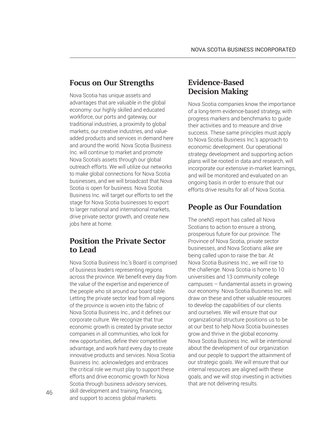#### **Focus on Our Strengths**

Nova Scotia has unique assets and advantages that are valuable in the global economy: our highly skilled and educated workforce, our ports and gateway, our traditional industries, a proximity to global markets, our creative industries, and valueadded products and services in demand here and around the world. Nova Scotia Business Inc. will continue to market and promote Nova Scotia's assets through our global outreach efforts. We will utilize our networks to make global connections for Nova Scotia businesses, and we will broadcast that Nova Scotia is open for business. Nova Scotia Business Inc. will target our efforts to set the stage for Nova Scotia businesses to export to larger national and international markets, drive private sector growth, and create new jobs here at home.

#### **Position the Private Sector to Lead**

Nova Scotia Business Inc.'s Board is comprised of business leaders representing regions across the province. We benefit every day from the value of the expertise and experience of the people who sit around our board table. Letting the private sector lead from all regions of the province is woven into the fabric of Nova Scotia Business Inc., and it defines our corporate culture. We recognize that true economic growth is created by private sector companies in all communities, who look for new opportunities, define their competitive advantage, and work hard every day to create innovative products and services. Nova Scotia Business Inc. acknowledges and embraces the critical role we must play to support these efforts and drive economic growth for Nova Scotia through business advisory services, skill development and training, financing, and support to access global markets.

#### **Evidence-Based Decision Making**

Nova Scotia companies know the importance of a long-term evidence-based strategy, with progress markers and benchmarks to guide their activities and to measure and drive success. These same principles must apply to Nova Scotia Business Inc.'s approach to economic development. Our operational strategy development and supporting action plans will be rooted in data and research, will incorporate our extensive in-market learnings, and will be monitored and evaluated on an ongoing basis in order to ensure that our efforts drive results for all of Nova Scotia.

### **People as Our Foundation**

The oneNS report has called all Nova Scotians to action to ensure a strong, prosperous future for our province. The Province of Nova Scotia, private sector businesses, and Nova Scotians alike are being called upon to raise the bar. At Nova Scotia Business Inc., we will rise to the challenge. Nova Scotia is home to 10 universities and 13 community college campuses – fundamental assets in growing our economy. Nova Scotia Business Inc. will draw on these and other valuable resources to develop the capabilities of our clients and ourselves. We will ensure that our organizational structure positions us to be at our best to help Nova Scotia businesses grow and thrive in the global economy. Nova Scotia Business Inc. will be intentional about the development of our organization and our people to support the attainment of our strategic goals. We will ensure that our internal resources are aligned with these goals, and we will stop investing in activities that are not delivering results.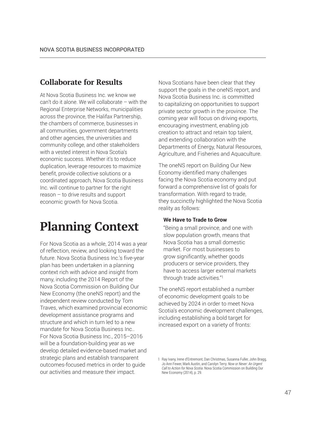#### **Collaborate for Results**

At Nova Scotia Business Inc. we know we can't do it alone. We will collaborate – with the Regional Enterprise Networks, municipalities across the province, the Halifax Partnership, the chambers of commerce, businesses in all communities, government departments and other agencies, the universities and community college, and other stakeholders with a vested interest in Nova Scotia's economic success. Whether it's to reduce duplication, leverage resources to maximize benefit, provide collective solutions or a coordinated approach, Nova Scotia Business Inc. will continue to partner for the right reason – to drive results and support economic growth for Nova Scotia.

### **Planning Context**

For Nova Scotia as a whole, 2014 was a year of reflection, review, and looking toward the future. Nova Scotia Business Inc.'s five-year plan has been undertaken in a planning context rich with advice and insight from many, including the 2014 Report of the Nova Scotia Commission on Building Our New Economy (the oneNS report) and the independent review conducted by Tom Traves, which examined provincial economic development assistance programs and structure and which in turn led to a new mandate for Nova Scotia Business Inc.. For Nova Scotia Business Inc., 2015–2016 will be a foundation-building year as we develop detailed evidence-based market and strategic plans and establish transparent outcomes-focused metrics in order to guide our activities and measure their impact.

Nova Scotians have been clear that they support the goals in the oneNS report, and Nova Scotia Business Inc. is committed to capitalizing on opportunities to support private sector growth in the province. The coming year will focus on driving exports, encouraging investment, enabling job creation to attract and retain top talent, and extending collaboration with the Departments of Energy, Natural Resources, Agriculture, and Fisheries and Aquaculture.

The oneNS report on Building Our New Economy identified many challenges facing the Nova Scotia economy and put forward a comprehensive list of goals for transformation. With regard to trade, they succinctly highlighted the Nova Scotia reality as follows:

#### **We Have to Trade to Grow**

"Being a small province, and one with slow population growth, means that Nova Scotia has a small domestic market. For most businesses to grow significantly, whether goods producers or service providers, they have to access larger external markets through trade activities."<sup>1</sup>

The oneNS report established a number of economic development goals to be achieved by 2024 in order to meet Nova Scotia's economic development challenges, including establishing a bold target for increased export on a variety of fronts:

<sup>1</sup> Ray Ivany, Irene d'Entremont, Dan Christmas, Susanna Fuller, John Bragg, Jo Ann Fewer, Mark Austin, and Carolyn Terry. *Now or Never: An Urgent Call to Action for Nova Scotia*. Nova Scotia Commission on Building Our New Economy (2014), p. 29.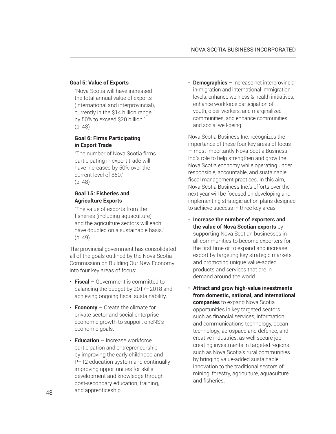#### **Goal 5: Value of Exports**

"Nova Scotia will have increased the total annual value of exports (international and interprovincial), currently in the \$14 billion range, by 50% to exceed \$20 billion." (p. 48)

#### **Goal 6: Firms Participating in Export Trade**

"The number of Nova Scotia firms participating in export trade will have increased by 50% over the current level of 850." (p. 48)

#### **Goal 15: Fisheries and Agriculture Exports**

"The value of exports from the fisheries (including aquaculture) and the agriculture sectors will each have doubled on a sustainable basis." (p. 49)

The provincial government has consolidated all of the goals outlined by the Nova Scotia Commission on Building Our New Economy into four key areas of focus:

- **Fiscal** Government is committed to balancing the budget by 2017–2018 and achieving ongoing fiscal sustainability.
- **Economy** Create the climate for private sector and social enterprise economic growth to support oneNS's economic goals.
- **Education** Increase workforce participation and entrepreneurship by improving the early childhood and P–12 education system and continually improving opportunities for skills development and knowledge through post-secondary education, training, and apprenticeship.

• **Demographics** – Increase net interprovincial in-migration and international immigration levels; enhance wellness & health initiatives; enhance workforce participation of youth, older workers, and marginalized communities; and enhance communities and social well-being.

Nova Scotia Business Inc. recognizes the importance of these four key areas of focus — most importantly Nova Scotia Business Inc.'s role to help strengthen and grow the Nova Scotia economy while operating under responsible, accountable, and sustainable fiscal management practices. In this aim, Nova Scotia Business Inc.'s efforts over the next year will be focused on developing and implementing strategic action plans designed to achieve success in three key areas:

- **Increase the number of exporters and the value of Nova Scotian exports** by supporting Nova Scotian businesses in all communities to become exporters for the first time or to expand and increase export by targeting key strategic markets and promoting unique value-added products and services that are in demand around the world.
- **Attract and grow high-value investments from domestic, national, and international companies** to expand Nova Scotia opportunities in key targeted sectors such as financial services, information and communications technology, ocean technology, aerospace and defence, and creative industries, as well secure job creating investments in targeted regions such as Nova Scotia's rural communities by bringing value-added sustainable innovation to the traditional sectors of mining, forestry, agriculture, aquaculture and fisheries.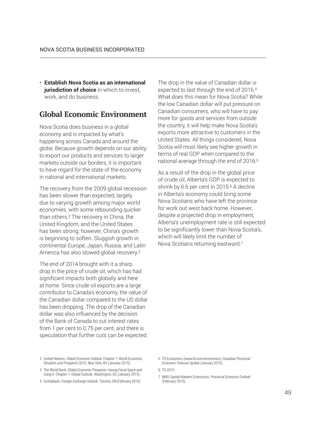• **Establish Nova Scotia as an international jurisdiction of choice** in which to invest. work, and do business.

#### **Global Economic Environment**

Nova Scotia does business in a global economy and is impacted by what's happening across Canada and around the globe. Because growth depends on our ability to export our products and services to larger markets outside our borders, it is important to have regard for the state of the economy in national and international markets.

The recovery from the 2009 global recession has been slower than expected, largely due to varying growth among major world economies, with some rebounding quicker than others.2 The recovery in China, the United Kingdom, and the United States has been strong; however, China's growth is beginning to soften. Sluggish growth in continental Europe, Japan, Russia, and Latin America has also slowed global recovery.<sup>3</sup>

The end of 2014 brought with it a sharp drop in the price of crude oil, which has had significant impacts both globally and here at home. Since crude oil exports are a large contributor to Canada's economy, the value of the Canadian dollar compared to the US dollar has been dropping. The drop of the Canadian dollar was also influenced by the decision of the Bank of Canada to cut interest rates from 1 per cent to 0.75 per cent, and there is speculation that further cuts can be expected. The drop in the value of Canadian dollar is expected to last through the end of 2016.4 What does this mean for Nova Scotia? While the low Canadian dollar will put pressure on Canadian consumers, who will have to pay more for goods and services from outside the country, it will help make Nova Scotia's exports more attractive to customers in the United States. All things considered, Nova Scotia will most likely see higher growth in terms of real GDP when compared to the national average through the end of 2016.5

As a result of the drop in the global price of crude oil, Alberta's GDP is expected to shrink by 6.6 per cent in 2015.<sup>6</sup> A decline in Alberta's economy could bring some Nova Scotians who have left the province for work out west back home. However, despite a projected drop in employment, Alberta's unemployment rate is still expected to be significantly lower than Nova Scotia's, which will likely limit the number of Nova Scotians returning eastward.<sup>7</sup>

2 United Nations. *Global Economic Outlook*. Chapter 1: World Economic Situation and Prospects 2015. New York, NY (January 2015).

- 4 Scotiabank. *Foreign Exchange Outlook*. Toronto, ON (February 2015).
- 5 TD Economics (www.td.com/economics). *Canadian Provincial Economic Forecast Update* (January 2015).

6 TD 2015.

7 BMO Capital Markets Economics. *Provincial Economic Outlook* (February 2015).

<sup>3</sup> The World Bank. *Global Economic Prospects: Having Fiscal Space and Using It*. Chapter 1: Global Outlook. Washington, DC (January 2015).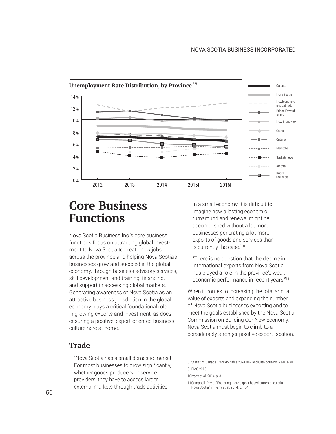

### **Core Business Functions**

Nova Scotia Business Inc.'s core business functions focus on attracting global investment to Nova Scotia to create new jobs across the province and helping Nova Scotia's businesses grow and succeed in the global economy, through business advisory services, skill development and training, financing, and support in accessing global markets. Generating awareness of Nova Scotia as an attractive business jurisdiction in the global economy plays a critical foundational role in growing exports and investment, as does ensuring a positive, export-oriented business culture here at home.

#### **Trade**

"Nova Scotia has a small domestic market. For most businesses to grow significantly, whether goods producers or service providers, they have to access larger external markets through trade activities.

In a small economy, it is difficult to imagine how a lasting economic turnaround and renewal might be accomplished without a lot more businesses generating a lot more exports of goods and services than is currently the case."10

"There is no question that the decline in international exports from Nova Scotia has played a role in the province's weak economic performance in recent years."11

When it comes to increasing the total annual value of exports and expanding the number of Nova Scotia businesses exporting and to meet the goals established by the Nova Scotia Commission on Building Our New Economy, Nova Scotia must begin to climb to a considerably stronger positive export position.

10Ivany et al. 2014, p. 31.

11Campbell, David. "Fostering more export-based entrepreneurs in Nova Scotia," in Ivany et al. 2014, p. 184.

<sup>8</sup> Statistics Canada. CANSIM table 282-0087 and Catalogue no. 71-001-XIE. 9 BMO 2015.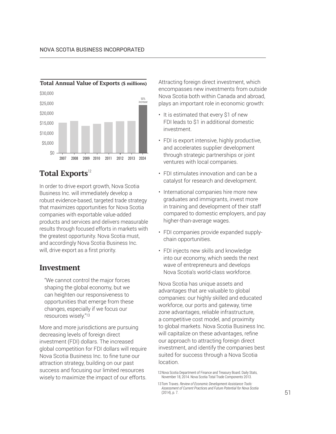

### **Total Exports**<sup>12</sup>

In order to drive export growth, Nova Scotia Business Inc. will immediately develop a robust evidence-based, targeted trade strategy that maximizes opportunities for Nova Scotia companies with exportable value-added products and services and delivers measurable results through focused efforts in markets with the greatest opportunity. Nova Scotia must, and accordingly Nova Scotia Business Inc. will, drive export as a first priority.

#### **Investment**

"We cannot control the major forces shaping the global economy, but we can heighten our responsiveness to opportunities that emerge from these changes, especially if we focus our resources wisely."<sup>13</sup>

More and more jurisdictions are pursuing decreasing levels of foreign direct investment (FDI) dollars. The increased global competition for FDI dollars will require Nova Scotia Business Inc. to fine tune our attraction strategy, building on our past success and focusing our limited resources wisely to maximize the impact of our efforts. Attracting foreign direct investment, which encompasses new investments from outside Nova Scotia both within Canada and abroad, plays an important role in economic growth:

- It is estimated that every \$1 of new FDI leads to \$1 in additional domestic investment.
- FDI is export intensive, highly productive, and accelerates supplier development through strategic partnerships or joint ventures with local companies.
- FDI stimulates innovation and can be a catalyst for research and development.
- International companies hire more new graduates and immigrants, invest more in training and development of their staff compared to domestic employers, and pay higher-than-average wages.
- FDI companies provide expanded supplychain opportunities.
- FDI injects new skills and knowledge into our economy, which seeds the next wave of entrepreneurs and develops Nova Scotia's world-class workforce.

Nova Scotia has unique assets and advantages that are valuable to global companies: our highly skilled and educated workforce, our ports and gateway, time zone advantages, reliable infrastructure, a competitive cost model, and proximity to global markets. Nova Scotia Business Inc. will capitalize on these advantages, refine our approach to attracting foreign direct investment, and identify the companies best suited for success through a Nova Scotia location.

<sup>12</sup>Nova Scotia Department of Finance and Treasury Board. Daily Stats, November 18, 2014. Nova Scotia Total Trade Components 2013.

<sup>13</sup>Tom Traves. *Review of Economic Development Assistance Tools: Assessment of Current Practices and Future Potential for Nova Scotia* (2014), p. 7.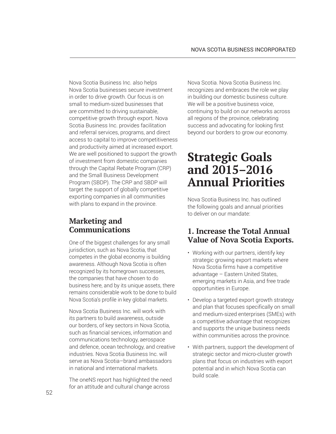Nova Scotia Business Inc. also helps Nova Scotia businesses secure investment in order to drive growth. Our focus is on small to medium-sized businesses that are committed to driving sustainable, competitive growth through export. Nova Scotia Business Inc. provides facilitation and referral services, programs, and direct access to capital to improve competitiveness and productivity aimed at increased export. We are well positioned to support the growth of investment from domestic companies through the Capital Rebate Program (CRP) and the Small Business Development Program (SBDP). The CRP and SBDP will target the support of globally competitive exporting companies in all communities with plans to expand in the province.

### **Marketing and Communications**

One of the biggest challenges for any small jurisdiction, such as Nova Scotia, that competes in the global economy is building awareness. Although Nova Scotia is often recognized by its homegrown successes, the companies that have chosen to do business here, and by its unique assets, there remains considerable work to be done to build Nova Scotia's profile in key global markets.

Nova Scotia Business Inc. will work with its partners to build awareness, outside our borders, of key sectors in Nova Scotia, such as financial services, information and communications technology, aerospace and defence, ocean technology, and creative industries. Nova Scotia Business Inc. will serve as Nova Scotia–brand ambassadors in national and international markets.

The oneNS report has highlighted the need for an attitude and cultural change across

Nova Scotia. Nova Scotia Business Inc. recognizes and embraces the role we play in building our domestic business culture. We will be a positive business voice. continuing to build on our networks across all regions of the province, celebrating success and advocating for looking first beyond our borders to grow our economy.

### **Strategic Goals and 2015–2016 Annual Priorities**

Nova Scotia Business Inc. has outlined the following goals and annual priorities to deliver on our mandate:

#### **1. Increase the Total Annual Value of Nova Scotia Exports.**

- Working with our partners, identify key strategic growing export markets where Nova Scotia firms have a competitive advantage – Eastern United States, emerging markets in Asia, and free trade opportunities in Europe.
- Develop a targeted export growth strategy and plan that focuses specifically on small and medium-sized enterprises (SMEs) with a competitive advantage that recognizes and supports the unique business needs within communities across the province.
- With partners, support the development of strategic sector and micro-cluster growth plans that focus on industries with export potential and in which Nova Scotia can build scale.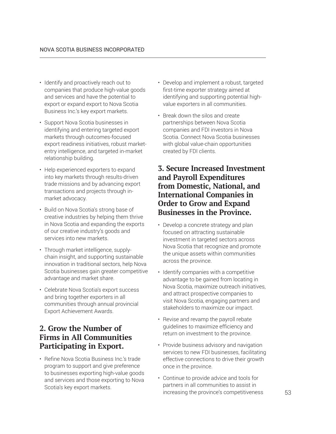- Identify and proactively reach out to companies that produce high-value goods and services and have the potential to export or expand export to Nova Scotia Business Inc.'s key export markets.
- Support Nova Scotia businesses in identifying and entering targeted export markets through outcomes-focused export readiness initiatives, robust marketentry intelligence, and targeted in-market relationship building.
- Help experienced exporters to expand into key markets through results-driven trade missions and by advancing export transactions and projects through inmarket advocacy.
- Build on Nova Scotia's strong base of creative industries by helping them thrive in Nova Scotia and expanding the exports of our creative industry's goods and services into new markets.
- Through market intelligence, supplychain insight, and supporting sustainable innovation in traditional sectors, help Nova Scotia businesses gain greater competitive advantage and market share.
- Celebrate Nova Scotia's export success and bring together exporters in all communities through annual provincial Export Achievement Awards.

### **2. Grow the Number of Firms in All Communities Participating in Export.**

• Refine Nova Scotia Business Inc.'s trade program to support and give preference to businesses exporting high-value goods and services and those exporting to Nova Scotia's key export markets.

- Develop and implement a robust, targeted first-time exporter strategy aimed at identifying and supporting potential highvalue exporters in all communities.
- Break down the silos and create partnerships between Nova Scotia companies and FDI investors in Nova Scotia. Connect Nova Scotia businesses with global value-chain opportunities created by FDI clients.

#### **3. Secure Increased Investment and Payroll Expenditures from Domestic, National, and International Companies in Order to Grow and Expand Businesses in the Province.**

- Develop a concrete strategy and plan focused on attracting sustainable investment in targeted sectors across Nova Scotia that recognize and promote the unique assets within communities across the province.
- Identify companies with a competitive advantage to be gained from locating in Nova Scotia, maximize outreach initiatives, and attract prospective companies to visit Nova Scotia, engaging partners and stakeholders to maximize our impact.
- Revise and revamp the payroll rebate guidelines to maximize efficiency and return on investment to the province.
- Provide business advisory and navigation services to new FDI businesses, facilitating effective connections to drive their growth once in the province.
- Continue to provide advice and tools for partners in all communities to assist in increasing the province's competitiveness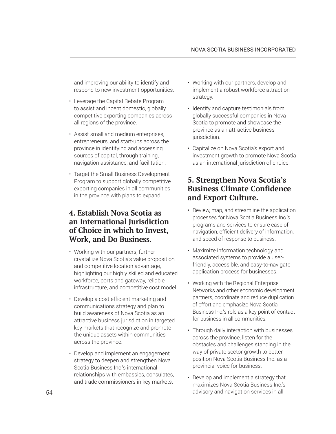and improving our ability to identify and respond to new investment opportunities.

- Leverage the Capital Rebate Program to assist and incent domestic, globally competitive exporting companies across all regions of the province.
- Assist small and medium enterprises, entrepreneurs, and start-ups across the province in identifying and accessing sources of capital, through training, navigation assistance, and facilitation.
- Target the Small Business Development Program to support globally competitive exporting companies in all communities in the province with plans to expand.

#### **4. Establish Nova Scotia as an International Jurisdiction of Choice in which to Invest, Work, and Do Business.**

- Working with our partners, further crystallize Nova Scotia's value proposition and competitive location advantage, highlighting our highly skilled and educated workforce, ports and gateway, reliable infrastructure, and competitive cost model.
- Develop a cost efficient marketing and communications strategy and plan to build awareness of Nova Scotia as an attractive business jurisdiction in targeted key markets that recognize and promote the unique assets within communities across the province.
- Develop and implement an engagement strategy to deepen and strengthen Nova Scotia Business Inc.'s international relationships with embassies, consulates, and trade commissioners in key markets.
- Working with our partners, develop and implement a robust workforce attraction strategy.
- Identify and capture testimonials from globally successful companies in Nova Scotia to promote and showcase the province as an attractive business jurisdiction.
- Capitalize on Nova Scotia's export and investment growth to promote Nova Scotia as an international jurisdiction of choice.

#### **5. Strengthen Nova Scotia's Business Climate Confidence and Export Culture.**

- Review, map, and streamline the application processes for Nova Scotia Business Inc.'s programs and services to ensure ease of navigation, efficient delivery of information, and speed of response to business.
- Maximize information technology and associated systems to provide a userfriendly, accessible, and easy-to-navigate application process for businesses.
- Working with the Regional Enterprise Networks and other economic development partners, coordinate and reduce duplication of effort and emphasize Nova Scotia Business Inc.'s role as a key point of contact for business in all communities.
- Through daily interaction with businesses across the province, listen for the obstacles and challenges standing in the way of private sector growth to better position Nova Scotia Business Inc. as a provincial voice for business.
- Develop and implement a strategy that maximizes Nova Scotia Business Inc.'s advisory and navigation services in all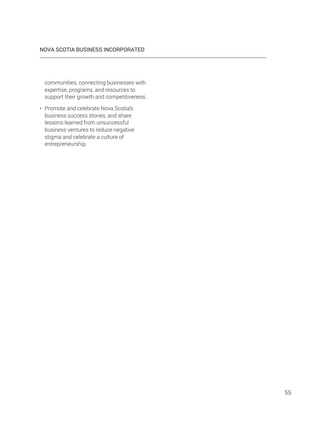communities, connecting businesses with expertise, programs, and resources to support their growth and competitiveness.

• Promote and celebrate Nova Scotia's business success stories, and share lessons learned from unsuccessful business ventures to reduce negative stigma and celebrate a culture of entrepreneurship.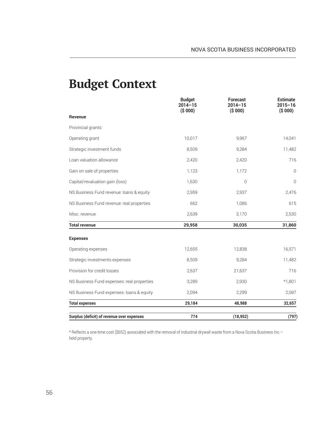### **Budget Context**

|                                            | <b>Budget</b><br>$2014 - 15$<br>( \$000) | <b>Forecast</b><br>$2014 - 15$<br>( \$000) | <b>Estimate</b><br>$2015 - 16$<br>( \$000) |
|--------------------------------------------|------------------------------------------|--------------------------------------------|--------------------------------------------|
| Revenue                                    |                                          |                                            |                                            |
| Provincial grants:                         |                                          |                                            |                                            |
| Operating grant                            | 10,017                                   | 9,967                                      | 14,041                                     |
| Strategic investment funds                 | 8,509                                    | 9,284                                      | 11,482                                     |
| Loan valuation allowance                   | 2,420                                    | 2,420                                      | 716                                        |
| Gain on sale of properties                 | 1,123                                    | 1,172                                      | $\mathbf{0}$                               |
| Capital/revaluation gain (loss)            | 1,630                                    | $\overline{0}$                             | $\mathbf{0}$                               |
| NS Business Fund revenue: loans & equity   | 2,959                                    | 2,937                                      | 2,476                                      |
| NS Business Fund revenue: real properties  | 662                                      | 1,086                                      | 615                                        |
| Misc. revenue                              | 2,639                                    | 3,170                                      | 2,530                                      |
| <b>Total revenue</b>                       | 29,958                                   | 30,035                                     | 31,860                                     |
| <b>Expenses</b>                            |                                          |                                            |                                            |
| Operating expenses                         | 12,655                                   | 12,838                                     | 16,571                                     |
| Strategic investments expenses             | 8,509                                    | 9,284                                      | 11,482                                     |
| Provision for credit losses                | 2,637                                    | 21,637                                     | 716                                        |
| NS Business Fund expenses: real properties | 3,289                                    | 2,930                                      | $*1,801$                                   |
| NS Business Fund expenses: loans & equity  | 2,094                                    | 2,299                                      | 2,087                                      |
| <b>Total expenses</b>                      | 29,184                                   | 48,988                                     | 32,657                                     |
| Surplus (deficit) of revenue over expenses | 774                                      | (18, 952)                                  | (797)                                      |

\* Reflects a one-time cost (\$652) associated with the removal of industrial drywall waste from a Nova Scotia Business Inc.– held property.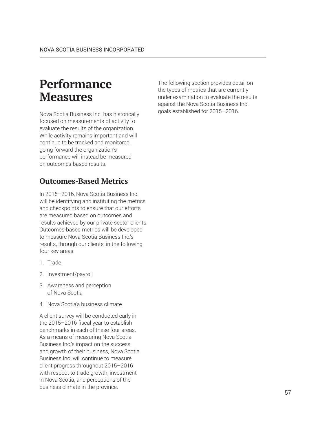### **Performance Measures**

Nova Scotia Business Inc. has historically focused on measurements of activity to evaluate the results of the organization. While activity remains important and will continue to be tracked and monitored, going forward the organization's performance will instead be measured on outcomes-based results.

### **Outcomes-Based Metrics**

In 2015–2016, Nova Scotia Business Inc. will be identifying and instituting the metrics and checkpoints to ensure that our efforts are measured based on outcomes and results achieved by our private sector clients. Outcomes-based metrics will be developed to measure Nova Scotia Business Inc.'s results, through our clients, in the following four key areas:

- 1. Trade
- 2. Investment/payroll
- 3. Awareness and perception of Nova Scotia
- 4. Nova Scotia's business climate

A client survey will be conducted early in the 2015–2016 fiscal year to establish benchmarks in each of these four areas. As a means of measuring Nova Scotia Business Inc.'s impact on the success and growth of their business, Nova Scotia Business Inc. will continue to measure client progress throughout 2015–2016 with respect to trade growth, investment in Nova Scotia, and perceptions of the business climate in the province.

The following section provides detail on the types of metrics that are currently under examination to evaluate the results against the Nova Scotia Business Inc. goals established for 2015–2016.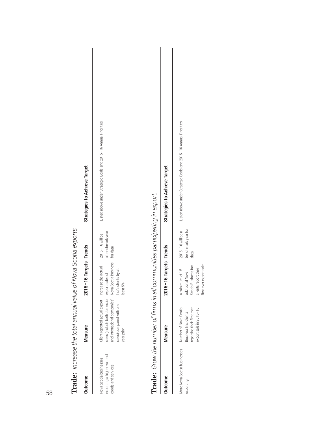| <b>TIGME:</b> IIIC CONTROL CONTROL CONTROL INTERNATIONAL CONTROL IS:        |                                                                                                                                                             |                                                                                    |                                                 |                                                                  |
|-----------------------------------------------------------------------------|-------------------------------------------------------------------------------------------------------------------------------------------------------------|------------------------------------------------------------------------------------|-------------------------------------------------|------------------------------------------------------------------|
| <b>Outcome</b>                                                              | Measure                                                                                                                                                     | 2015-16 Targets Trends                                                             |                                                 | <b>Strategies to Achieve Target</b>                              |
| exporting a higher value of<br>Nova Scotia businesses<br>goods and services | Client-reported actual export Increase the actual<br>sales (include both domestic<br>and international companies'<br>sales) compared with one<br>year prior | Nova Scotia Business<br>Inc.'s clients by at<br>export sales of<br>least 5%        | a benchmark year<br>2015-16 will be<br>for data | Listed above under Strategic Goals and 2015-16 Annual Priorities |
| Trade: Grow the number of firms in all communities participating in export. |                                                                                                                                                             |                                                                                    |                                                 |                                                                  |
| <b>Outcome</b>                                                              | Measure                                                                                                                                                     | 2015-16 Targets Trends                                                             |                                                 | <b>Strategies to Achieve Target</b>                              |
| More Nova Scotia businesses<br>exporting                                    | Number of Nova Scotia<br>exnort sale in 2015-16<br>reporting their first-ever<br>Business Inc. clients                                                      | Scotia Business Inc.<br>clients report their<br>A minimum of 15<br>additional Nova | benchmark year for<br>2015-16 will be a<br>data | Listed above under Strategic Goals and 2015-16 Annual Priorities |

**Trade:** Increase the total annual value of Nova Scotia exports. **Trade:** *Increase the total annual value of Nova Scotia exports.*

| lutcome                                | Φ<br>leasul                                                                                            | 2015-16 Targets Trends                                                                                       |                                                 | <b>Strategies to Achieve Target</b>                              |
|----------------------------------------|--------------------------------------------------------------------------------------------------------|--------------------------------------------------------------------------------------------------------------|-------------------------------------------------|------------------------------------------------------------------|
| lore Nova Scotia businesses<br>porting | Number of Nova Scotia<br>reporting their first-ever<br>export sale in 2015-16<br>Business Inc. clients | first ever export sale<br>Scotia Business Inc.<br>clients report their<br>A minimum of 15<br>additional Nova | benchmark year for<br>2015-16 will be a<br>data | Listed above under Strategic Goals and 2015-16 Annual Priorities |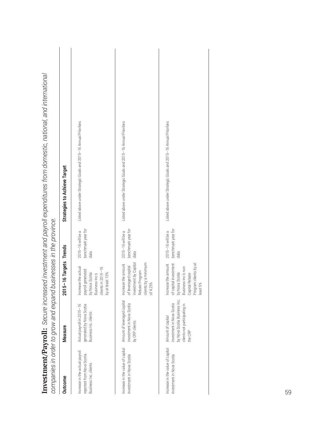| companies in order to grow and expand businesses in the province.                    |                                                                                                                           |                                                                                                                                              |                                                 |                                                                  |
|--------------------------------------------------------------------------------------|---------------------------------------------------------------------------------------------------------------------------|----------------------------------------------------------------------------------------------------------------------------------------------|-------------------------------------------------|------------------------------------------------------------------|
| Outcome                                                                              | Measure                                                                                                                   | 2015-16 Targets Trends                                                                                                                       |                                                 | <b>Strategies to Achieve Target</b>                              |
| Increase in the actual payroll<br>reported from Nova Scotia<br>Business Inc. clients | Actual payroll in 2015-16<br>generated by Nova Scotia<br>Business Inc. clients                                            | Increase the actual<br>clients in 2015-16<br>payroll generated<br>by Nova Scotia<br>Business Inc.'s<br>at least 10%<br>$\gtrsim$             | benchmark year for<br>2015-16 will be a<br>data | Listed above under Strategic Goals and 2015-16 Annual Priorities |
| Increase in the value of capital<br>investment in Nova Scotia                        | Amount of leveraged capital<br>investment in Nova Scotia<br>by CRP clients                                                | investment by Capital<br>clients by a minimum<br>Increase the amount<br>of leveraged capital<br>Rebate Program<br>of 4.25%                   | benchmark year for<br>2015-16 will be a<br>data | Listed above under Strategic Goals and 2015-16 Annual Priorities |
| Increase in the value of capital<br>investment in Nova Scotia                        | by Nova Scotia Business Inc.<br>investment in Nova Scotia<br>clients not participating in<br>Amount of capital<br>the CRP | of capital investment<br>Program clients by at<br>Increase the amount<br>by Nova Scotia<br>Business Inc.'s non<br>Capital Rebate<br>least 5% | benchmark year for<br>2015-16 will be a<br>data | Listed above under Strategic Goals and 2015-16 Annual Priorities |
|                                                                                      |                                                                                                                           |                                                                                                                                              |                                                 |                                                                  |

Investment/Payroll: Secure increased investment and payroll expenditures from domestic, national, and international  *Secure increased investment and payroll expenditures from domestic, national, and international*  **Investment/Payroll:**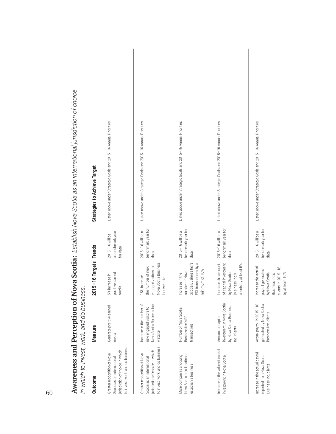| in which to invest, work, and do business.                                                                                       |                                                                                              |                                                                                                                        |                                                 |                                                                  |
|----------------------------------------------------------------------------------------------------------------------------------|----------------------------------------------------------------------------------------------|------------------------------------------------------------------------------------------------------------------------|-------------------------------------------------|------------------------------------------------------------------|
| Outcome                                                                                                                          | <b>Measure</b>                                                                               | 2015-16 Targets                                                                                                        | <b>Trends</b>                                   | <b>Strategies to Achieve Target</b>                              |
| to invest, work, and do business<br>jurisdiction of choice in which<br>Greater recognition of Nova<br>Scotia as an international | Generate positive earned<br>media                                                            | positive earned<br>5% increase in<br>media                                                                             | a benchmark year<br>2015-16 will be<br>for data | Listed above under Strategic Goals and 2015-16 Annual Priorities |
| to invest, work, and do business<br>jurisdiction of choice in which<br>Greater recognition of Nova<br>Scotia as an international | Increase in the number of<br>Nova Scotia Business Inc.<br>new engaged visitors to<br>website | Nova Scotia Business<br>engaged visitors to<br>the number of new,<br>5% increase in<br>Inc. website                    | benchmark year for<br>2015-16 will be a<br>data | Listed above under Strategic Goals and 2015-16 Annual Priorities |
| Nova Scotia as a location to<br>More companies choosing<br>establish a business                                                  | Number of Nova Scotia<br>Business Inc.'s FDI<br>transactions                                 | Scotia Business Inc.'s<br>FDI transactions by a<br>minimum of 10%<br>number of Nova<br>Increase in the                 | benchmark year for<br>2015-16 will be a<br>data | Listed above under Strategic Goals and 2015-16 Annual Priorities |
| Increase in the value of capital<br>investment in Nova Scotia                                                                    | investment in Nova Scotia<br>by Nova Scotia Business<br>Amount of capital<br>Inc. clients    | of capital investment<br>clients by at least 5%<br>Increase the amount<br>by Nova Scotia<br>Business Inc.'s            | benchmark year for<br>2015-16 will be a<br>data | Listed above under Strategic Goals and 2015-16 Annual Priorities |
| Increase in the actual payroll<br>reported from Nova Scotia<br>Business Inc. clients                                             | Actual payroll in 2015-16<br>generated by Nova Scotia<br>Business Inc. clients               | Increase the actual<br>clients in 2015-16<br>by at least 10%<br>payroll generated<br>by Nova Scotia<br>Business Inc.'s | benchmark year for<br>2015-16 will be a<br>data | Listed above under Strategic Goals and 2015-16 Annual Priorities |

**Awareness and Perception of Nova Scotia:** *Establish Nova Scotia as an international jurisdiction of choice*  ے اپنا بنام مازمین میں ملا مازمان<br>ماز بنام مازمین  $\frac{1}{2}$ Š Eatablich No  $\ddot{\ddot{\tau}}$ c  $\sim$ f NI $\sim$ '' È H

∢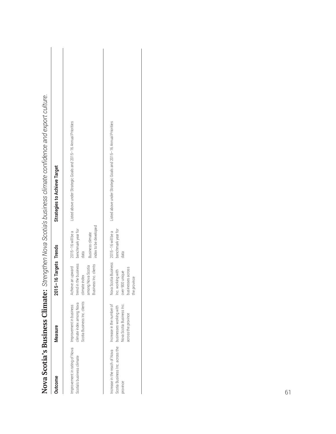|                                                                             |                                                                                                          |                                                                                                                  |                                                                                              | Nova Scotia's Business Climate: Strengthen Nova Scotia's business climate confidence and export culture. |
|-----------------------------------------------------------------------------|----------------------------------------------------------------------------------------------------------|------------------------------------------------------------------------------------------------------------------|----------------------------------------------------------------------------------------------|----------------------------------------------------------------------------------------------------------|
| Jutcome                                                                     | Measure                                                                                                  | :015-16 Targets Trends                                                                                           |                                                                                              | <b>Strategies to Achieve Target</b>                                                                      |
| mprovement in rating of Nova<br>Scotia's business climate                   | Scotia Business Inc. clients<br>climate index among Nova<br>Improvement in business                      | Achieve an upward<br>rend in the business<br>Business Inc. clients<br>among Nova Scotia<br>climate index         | index to be developed<br>benchmark year for<br>2015-16 will be a<br>Business climate<br>data | Listed above under Strategic Goals and 2015-16 Annual Priorities                                         |
| Scotia Business Inc. across the<br>norease in the reach of Nova<br>province | Increase in the number of<br>Nova Scotia Business Inc.<br>businesses working with<br>across the province | lova Scotia Business 2015-16 will be a<br>JUSINESSES across<br>nc. working with<br>wer 900 unique<br>he province | benchmark year for<br>data                                                                   | Listed above under Strategic Goals and 2015-16 Annual Priorities                                         |

| i                                                                                          |
|--------------------------------------------------------------------------------------------|
|                                                                                            |
| <b>is Climate:</b> Strengthen Nova Scotia's business climate confidence and export culture |
| ί                                                                                          |
|                                                                                            |
|                                                                                            |
| <b>ISPULSI</b>                                                                             |
| l                                                                                          |
|                                                                                            |
|                                                                                            |
|                                                                                            |
|                                                                                            |
|                                                                                            |
| ı                                                                                          |
|                                                                                            |
|                                                                                            |
|                                                                                            |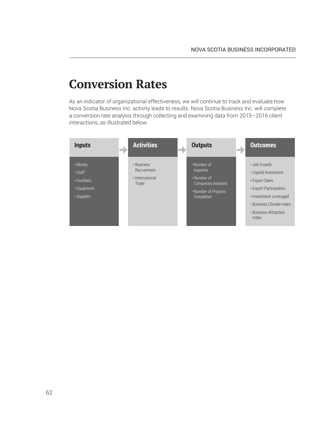### **Conversion Rates**

As an indicator of organizational effectiveness, we will continue to track and evaluate how Nova Scotia Business Inc. activity leads to results. Nova Scotia Business Inc. will complete a conversion rate analysis through collecting and examining data from 2015–2016 client interactions, as illustrated below.

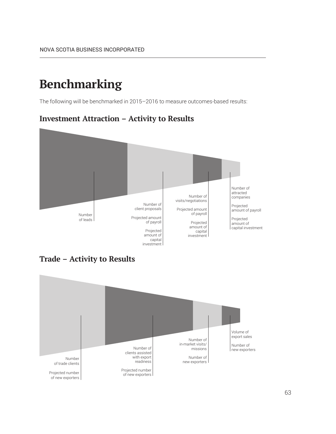### **Benchmarking**

The following will be benchmarked in 2015–2016 to measure outcomes-based results:

#### **Investment Attraction – Activity to Results**



**Trade – Activity to Results**

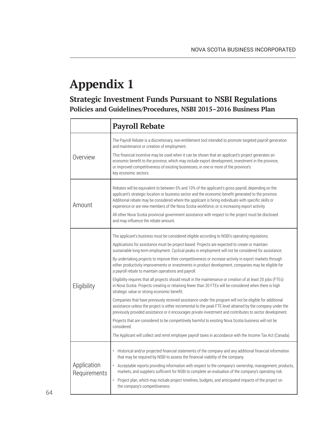# **Appendix 1**

### **Strategic Investment Funds Pursuant to NSBI Regulations Policies and Guidelines/Procedures, NSBI 2015–2016 Business Plan**

|                             | <b>Payroll Rebate</b>                                                                                                                                                                                                                                                                                                                                                                                                  |
|-----------------------------|------------------------------------------------------------------------------------------------------------------------------------------------------------------------------------------------------------------------------------------------------------------------------------------------------------------------------------------------------------------------------------------------------------------------|
|                             | The Payroll Rebate is a discretionary, non-entitlement tool intended to promote targeted payroll generation<br>and maintenance or creation of employment.                                                                                                                                                                                                                                                              |
| Overview                    | This financial incentive may be used when it can be shown that an applicant's project generates an<br>economic benefit to the province, which may include export development, investment in the province,<br>or improved competitiveness of existing businesses, in one or more of the province's<br>key economic sectors.                                                                                             |
| Amount                      | Rebates will be equivalent to between 5% and 10% of the applicant's gross payroll, depending on the<br>applicant's strategic location or business sector and the economic benefit generated to the province.<br>Additional rebate may be considered where the applicant is hiring individuals with specific skills or<br>experience or are new members of the Nova Scotia workforce, or is increasing export activity. |
|                             | All other Nova Scotia provincial government assistance with respect to the project must be disclosed<br>and may influence the rebate amount.                                                                                                                                                                                                                                                                           |
|                             | The applicant's business must be considered eligible according to NSBI's operating regulations.                                                                                                                                                                                                                                                                                                                        |
|                             | Applications for assistance must be project-based. Projects are expected to create or maintain<br>sustainable long-term employment. Cyclical peaks in employment will not be considered for assistance.                                                                                                                                                                                                                |
|                             | By undertaking projects to improve their competitiveness or increase activity in export markets through<br>either productivity improvements or investments in product development, companies may be eligible for<br>a payroll rebate to maintain operations and payroll.                                                                                                                                               |
| Eligibility                 | Eligibility requires that all projects should result in the maintenance or creation of at least 20 jobs (FTEs)<br>in Nova Scotia. Projects creating or retaining fewer than 20 FTEs will be considered when there is high<br>strategic value or strong economic benefit.                                                                                                                                               |
|                             | Companies that have previously received assistance under the program will not be eligible for additional<br>assistance unless the project is either incremental to the peak FTE level attained by the company under the<br>previously provided assistance or it encourages private investment and contributes to sector development.                                                                                   |
|                             | Projects that are considered to be competitively harmful to existing Nova Scotia business will not be<br>considered.                                                                                                                                                                                                                                                                                                   |
|                             | The Applicant will collect and remit employee payroll taxes in accordance with the Income Tax Act (Canada).                                                                                                                                                                                                                                                                                                            |
|                             | Historical and/or projected financial statements of the company and any additional financial information<br>that may be required by NSBI to assess the financial viability of the company.                                                                                                                                                                                                                             |
| Application<br>Requirements | Acceptable reports providing information with respect to the company's ownership, management, products,<br>$\bullet$<br>markets, and suppliers sufficient for NSBI to complete an evaluation of the company's operating risk.                                                                                                                                                                                          |
|                             | Project plan, which may include project timelines, budgets, and anticipated impacts of the project on<br>the company's competitiveness.                                                                                                                                                                                                                                                                                |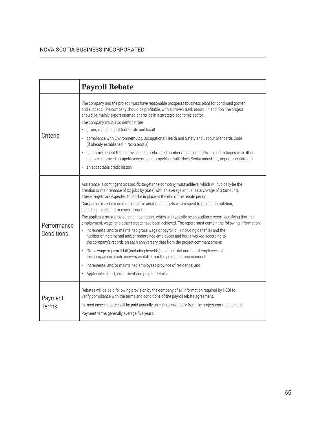|                           | <b>Payroll Rebate</b>                                                                                                                                                                                                                                                                                                                                                                                                                                                                                                                                                                                                                                                                                                                                                                                                                                                                                                                                                                                                                                                                                                                                                                                                                                 |
|---------------------------|-------------------------------------------------------------------------------------------------------------------------------------------------------------------------------------------------------------------------------------------------------------------------------------------------------------------------------------------------------------------------------------------------------------------------------------------------------------------------------------------------------------------------------------------------------------------------------------------------------------------------------------------------------------------------------------------------------------------------------------------------------------------------------------------------------------------------------------------------------------------------------------------------------------------------------------------------------------------------------------------------------------------------------------------------------------------------------------------------------------------------------------------------------------------------------------------------------------------------------------------------------|
| Criteria                  | The company and the project must have reasonable prospects (business plan) for continued growth<br>and success. The company should be profitable, with a proven track record. In addition, the project<br>should be mainly export oriented and/or be in a strategic economic sector.<br>The company must also demonstrate<br>strong management (corporate and local)<br>compliance with Environment Act, Occupational Health and Safety and Labour Standards Code<br>$\bullet$<br>(if already established in Nova Scotia)<br>economic benefit to the province (e.g., estimated number of jobs created/retained, linkages with other<br>sectors, improved competitiveness, non-competition with Nova Scotia industries, import substitution)<br>an acceptable credit history                                                                                                                                                                                                                                                                                                                                                                                                                                                                           |
| Performance<br>Conditions | Assistance is contingent on specific targets the company must achieve, which will typically be the<br>creation or maintenance of $(x)$ jobs by (date) with an average annual salary/wage of $\hat{S}$ (amount).<br>These targets are expected to still be in place at the end of the rebate period.<br>Companies may be required to achieve additional targets with respect to project completion,<br>including investment or export targets.<br>The applicant must provide an annual report, which will typically be an auditor's report, certifying that the<br>employment, wage, and other targets have been achieved. The report must contain the following information:<br>Incremental and/or maintained gross wage or payroll bill (including benefits) and the<br>$\bullet$<br>number of incremental and/or maintained employees and hours worked according to<br>the company's records on each anniversary date from the project commencement;<br>• Gross wage or payroll bill (including benefits) and the total number of employees of<br>the company on each anniversary date from the project commencement;<br>Incremental and/or maintained employees province of residence; and<br>• Applicable export, investment and project details. |
| Payment<br>Terms          | Rebates will be paid following provision by the company of all information required by NSBI to<br>verify compliance with the terms and conditions of the payroll rebate agreement.<br>In most cases, rebates will be paid annually on each anniversary from the project commencement.<br>Payment terms generally average five years.                                                                                                                                                                                                                                                                                                                                                                                                                                                                                                                                                                                                                                                                                                                                                                                                                                                                                                                  |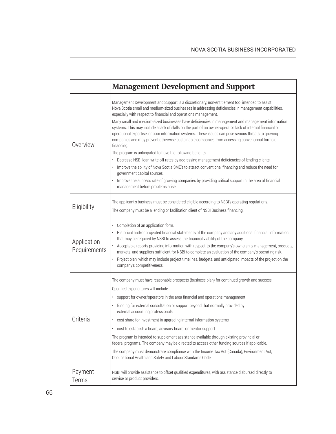|                             | <b>Management Development and Support</b>                                                                                                                                                                                                                                                                                                                                                                                                                                                                                                                                                                                                                                                                                                                                                                                                                                                                                                                                                                                                                                                                                                                            |
|-----------------------------|----------------------------------------------------------------------------------------------------------------------------------------------------------------------------------------------------------------------------------------------------------------------------------------------------------------------------------------------------------------------------------------------------------------------------------------------------------------------------------------------------------------------------------------------------------------------------------------------------------------------------------------------------------------------------------------------------------------------------------------------------------------------------------------------------------------------------------------------------------------------------------------------------------------------------------------------------------------------------------------------------------------------------------------------------------------------------------------------------------------------------------------------------------------------|
| Overview                    | Management Development and Support is a discretionary, non-entitlement tool intended to assist<br>Nova Scotia small and medium-sized businesses in addressing deficiencies in management capabilities,<br>especially with respect to financial and operations management.<br>Many small and medium-sized businesses have deficiencies in management and management information<br>systems. This may include a lack of skills on the part of an owner-operator, lack of internal financial or<br>operational expertise, or poor information systems. These issues can pose serious threats to growing<br>companies and may prevent otherwise sustainable companies from accessing conventional forms of<br>financing.<br>The program is anticipated to have the following benefits:<br>Decrease NSBI loan write-off rates by addressing management deficiencies of lending clients.<br>Improve the ability of Nova Scotia SME's to attract conventional financing and reduce the need for<br>government capital sources.<br>Improve the success rate of growing companies by providing critical support in the area of financial<br>management before problems arise. |
| Eligibility                 | The applicant's business must be considered eligible according to NSBI's operating regulations.<br>The company must be a lending or facilitation client of NSBI Business financing.                                                                                                                                                                                                                                                                                                                                                                                                                                                                                                                                                                                                                                                                                                                                                                                                                                                                                                                                                                                  |
| Application<br>Requirements | Completion of an application form.<br>Historical and/or projected financial statements of the company and any additional financial information<br>that may be required by NSBI to assess the financial viability of the company.<br>Acceptable reports providing information with respect to the company's ownership, management, products,<br>markets, and suppliers sufficient for NSBI to complete an evaluation of the company's operating risk.<br>Project plan, which may include project timelines, budgets, and anticipated impacts of the project on the<br>company's competitiveness.                                                                                                                                                                                                                                                                                                                                                                                                                                                                                                                                                                      |
| Criteria                    | The company must have reasonable prospects (business plan) for continued growth and success.<br>Qualified expenditures will include<br>support for owner/operators in the area financial and operations management<br>funding for external consultation or support beyond that normally provided by<br>external accounting professionals<br>cost share for investment in upgrading internal information systems<br>cost to establish a board, advisory board, or mentor support<br>٠<br>The program is intended to supplement assistance available through existing provincial or<br>federal programs. The company may be directed to access other funding sources if applicable.<br>The company must demonstrate compliance with the Income Tax Act (Canada), Environment Act,<br>Occupational Health and Safety and Labour Standards Code.                                                                                                                                                                                                                                                                                                                         |
| Payment<br>Terms            | NSBI will provide assistance to offset qualified expenditures, with assistance disbursed directly to<br>service or product providers.                                                                                                                                                                                                                                                                                                                                                                                                                                                                                                                                                                                                                                                                                                                                                                                                                                                                                                                                                                                                                                |